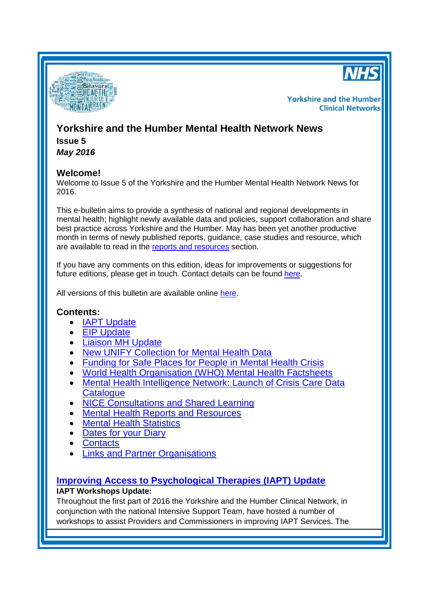



**Yorkshire and the Humber Clinical Networks** 

# **Yorkshire and the Humber Mental Health Network News Issue 5**

*May 2016*

# **Welcome!**

Welcome to Issue 5 of the Yorkshire and the Humber Mental Health Network News for 2016.

This e-bulletin aims to provide a synthesis of national and regional developments in mental health; highlight newly available data and policies, support collaboration and share best practice across Yorkshire and the Humber. May has been yet another productive month in terms of newly published reports, guidance, case studies and resource, which are available to read in the [reports and resources](#page-3-0) section.

If you have any comments on this edition, ideas for improvements or suggestions for future editions, please get in touch. Contact details can be found [here.](#page-5-0)

All versions of this bulletin are available online [here.](http://www.yhscn.nhs.uk/mental-health-clinic/mental-health-network/MH-documents-and-links.php)

# <span id="page-0-1"></span>**Contents:**

- **[IAPT Update](#page-0-0)**
- EIP [Update](#page-1-0)
- <span id="page-0-2"></span>[Liaison MH Update](#page-1-1)
- **[New UNIFY Collection for Mental Health Data](#page-2-0)**
- [Funding for Safe Places for People in Mental Health Crisis](#page-2-1)
- [World Health Organisation \(WHO\) Mental Health Factsheets](#page-2-2)
- [Mental Health Intelligence Network: Launch of Crisis Care Data](#page-3-1)  **[Catalogue](#page-3-1)**
- [NICE Consultations and Shared Learning](#page-3-2)
- [Mental Health Reports](#page-3-0) and Resources
- [Mental Health Statistics](#page-4-0)
- [Dates for your](#page-5-1) Diary
- **[Contacts](#page-5-0)**
- [Links and Partner Organisations](#page-5-2)

# <span id="page-0-0"></span>**[Improving Access to Psychological Therapies \(IAPT\) Update](#page-0-1)**

# **IAPT Workshops Update:**

Throughout the first part of 2016 the Yorkshire and the Humber Clinical Network, in conjunction with the national Intensive Support Team, have hosted a number of workshops to assist Providers and Commissioners in improving IAPT Services. The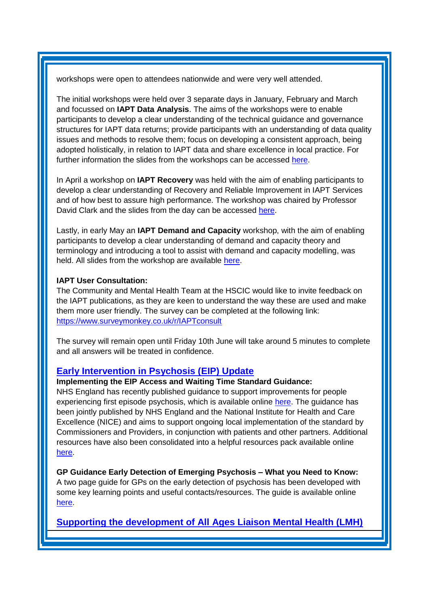workshops were open to attendees nationwide and were very well attended.

The initial workshops were held over 3 separate days in January, February and March and focussed on **IAPT Data Analysis**. The aims of the workshops were to enable participants to develop a clear understanding of the technical guidance and governance structures for IAPT data returns; provide participants with an understanding of data quality issues and methods to resolve them; focus on developing a consistent approach, being adopted holistically, in relation to IAPT data and share excellence in local practice. For further information the slides from the workshops can be accessed [here.](http://www.yhscn.nhs.uk/mental-health-clinic/mental-health-network/IAPT/IAPTMeetingsandEvents.php)

In April a workshop on **IAPT Recovery** was held with the aim of enabling participants to develop a clear understanding of Recovery and Reliable Improvement in IAPT Services and of how best to assure high performance. The workshop was chaired by Professor David Clark and the slides from the day can be accessed [here.](http://www.yhscn.nhs.uk/media/PDFs/mhdn/Mental%20Health/Recovery%20Workshop/yhscn-mentalhealth-IAPTRecoveryWorkshopSlides_20160421)

Lastly, in early May an **IAPT Demand and Capacity** workshop, with the aim of enabling participants to develop a clear understanding of demand and capacity theory and terminology and introducing a tool to assist with demand and capacity modelling, was held. All slides from the workshop are available [here.](http://www.yhscn.nhs.uk/media/PDFs/mhdn/Mental%20Health/Demand%20and%20Capacity/yhscn-mentalhealth-YorkshireHumber%20IAPT%20Demand%20and%20Capacity%20Slides-20160512.pdf)

#### **IAPT User Consultation:**

The Community and Mental Health Team at the HSCIC would like to invite feedback on the IAPT publications, as they are keen to understand the way these are used and make them more user friendly. The survey can be completed at the following link: <https://www.surveymonkey.co.uk/r/IAPTconsult>

The survey will remain open until Friday 10th June will take around 5 minutes to complete and all answers will be treated in confidence.

## <span id="page-1-0"></span>**[Early Intervention in Psychosis \(EIP\)](#page-0-1) Update**

#### **Implementing the EIP Access and Waiting Time Standard Guidance:**

NHS England has recently published guidance to support improvements for people experiencing first episode psychosis, which is available online [here.](https://www.england.nhs.uk/mentalhealth/wp-content/uploads/sites/29/2016/04/eip-guidance.pdf) The guidance has been jointly published by NHS England and the National Institute for Health and Care Excellence (NICE) and aims to support ongoing local implementation of the standard by Commissioners and Providers, in conjunction with patients and other partners. Additional resources have also been consolidated into a helpful resources pack available online [here.](https://www.england.nhs.uk/mentalhealth/wp-content/uploads/sites/29/2016/04/eip-resources.pdf)

**GP Guidance Early Detection of Emerging Psychosis – What you Need to Know:** A two page guide for GPs on the early detection of psychosis has been developed with some key learning points and useful contacts/resources. The guide is available online [here.](http://www.rcgp.org.uk/clinical-and-research/toolkits/~/media/9B51AC832D27424F86C0B4ED8AD2593A.ashx)

<span id="page-1-1"></span>**[Supporting the development of All Ages Liaison Mental Health \(LMH\)](#page-0-2)**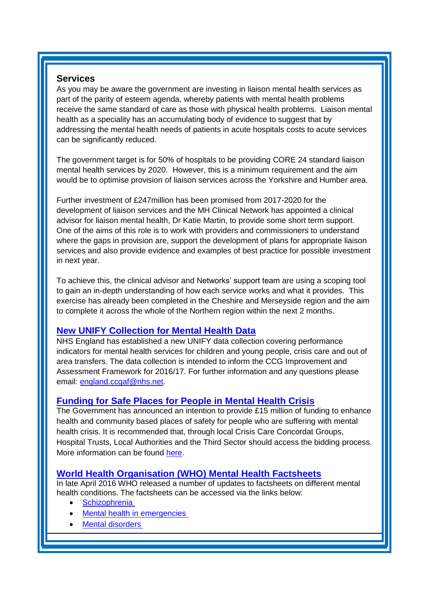## **Services**

As you may be aware the government are investing in liaison mental health services as part of the parity of esteem agenda, whereby patients with mental health problems receive the same standard of care as those with physical health problems. Liaison mental health as a speciality has an accumulating body of evidence to suggest that by addressing the mental health needs of patients in acute hospitals costs to acute services can be significantly reduced.

The government target is for 50% of hospitals to be providing CORE 24 standard liaison mental health services by 2020. However, this is a minimum requirement and the aim would be to optimise provision of liaison services across the Yorkshire and Humber area.

Further investment of £247million has been promised from 2017-2020 for the development of liaison services and the MH Clinical Network has appointed a clinical advisor for liaison mental health, Dr Katie Martin, to provide some short term support. One of the aims of this role is to work with providers and commissioners to understand where the gaps in provision are, support the development of plans for appropriate liaison services and also provide evidence and examples of best practice for possible investment in next year.

To achieve this, the clinical advisor and Networks' support team are using a scoping tool to gain an in-depth understanding of how each service works and what it provides. This exercise has already been completed in the Cheshire and Merseyside region and the aim to complete it across the whole of the Northern region within the next 2 months.

# <span id="page-2-0"></span>**[New UNIFY Collection for Mental Health Data](#page-0-1)**

NHS England has established a new UNIFY data collection covering performance indicators for mental health services for children and young people, crisis care and out of area transfers. The data collection is intended to inform the CCG Improvement and Assessment Framework for 2016/17. For further information and any questions please email: [england.ccgaf@nhs.net.](mailto:england.ccgaf@nhs.net)

# <span id="page-2-1"></span>**[Funding for Safe Places for People in Mental Health Crisis](#page-0-1)**

The Government has announced an intention to provide £15 million of funding to enhance health and community based places of safety for people who are suffering with mental health crisis. It is recommended that, through local Crisis Care Concordat Groups, Hospital Trusts, Local Authorities and the Third Sector should access the bidding process. More information can be found [here.](https://www.gov.uk/government/news/new-funding-for-safe-places-for-people-in-mental-health-crisis)

# <span id="page-2-2"></span>**[World Health Organisation \(WHO\) Mental Health Factsheets](#page-0-1)**

In late April 2016 WHO released a number of updates to factsheets on different mental health conditions. The factsheets can be accessed via the links below:

- **[Schizophrenia](http://www.who.int/mediacentre/factsheets/fs397/en/)**
- Mental health in [emergencies](http://www.who.int/mediacentre/factsheets/fs383/en/)
- Mental [disorders](http://www.who.int/mediacentre/factsheets/fs396/en/)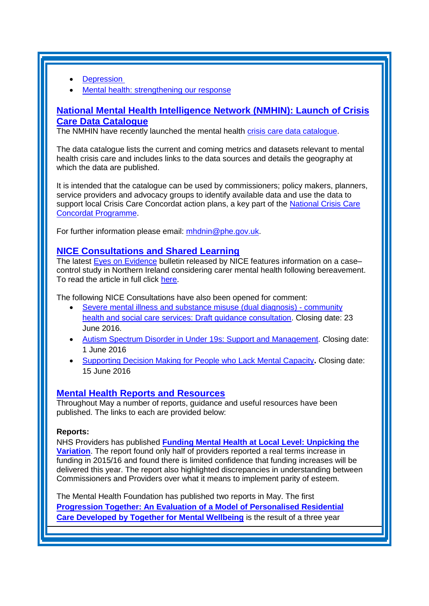- **[Depression](http://www.who.int/mediacentre/factsheets/fs369/en/)**
- [Mental health: strengthening our response](http://www.who.int/mediacentre/factsheets/fs220/en/)

# <span id="page-3-1"></span>**[National Mental Health Intelligence Network](#page-0-1) (NMHIN): Launch of Crisis [Care Data Catalogue](#page-0-1)**

The NMHIN have recently launched the mental health [crisis care data catalogue.](http://www.yhpho.org.uk/resource/view.aspx?RID=232017)

The data catalogue lists the current and coming metrics and datasets relevant to mental health crisis care and includes links to the data sources and details the geography at which the data are published.

It is intended that the catalogue can be used by commissioners; policy makers, planners, service providers and advocacy groups to identify available data and use the data to support local Crisis Care Concordat action plans, a key part of the [National Crisis Care](http://www.crisiscareconcordat.org.uk/)  [Concordat Programme.](http://www.crisiscareconcordat.org.uk/)

For further information please email: [mhdnin@phe.gov.uk.](mailto:mhdnin@phe.gov.uk?subject=Training)

## <span id="page-3-2"></span>**[NICE Consultations and Shared Learning](#page-0-1)**

The latest [Eyes on Evidence](http://us8.campaign-archive1.com/?u=7864f766b10b8edd18f19aa56&id=83078f7a4f) bulletin released by NICE features information on a case– control study in Northern Ireland considering carer mental health following bereavement. To read the article in full click [here.](http://us8.campaign-archive1.com/?u=7864f766b10b8edd18f19aa56&id=83078f7a4f#Carers)

The following NICE Consultations have also been opened for comment:

- [Severe mental illness and substance misuse \(dual diagnosis\) -](https://www.nice.org.uk/guidance/indevelopment/gid-phg87/consultation/html-content-2) community [health and social care services: Draft guidance consultation.](https://www.nice.org.uk/guidance/indevelopment/gid-phg87/consultation/html-content-2) Closing date: 23 June 2016.
- [Autism Spectrum Disorder in Under](https://www.nice.org.uk/guidance/cg170/consultation/html-content) 19s: Support and Management. Closing date: 1 June 2016
- [Supporting Decision Making for People who Lack Mental Capacity](https://www.nice.org.uk/guidance/indevelopment/gid-ng10009/consultation/html-content)**.** Closing date: 15 June 2016

## <span id="page-3-0"></span>**[Mental Health Reports](#page-0-1) and Resources**

Throughout May a number of reports, guidance and useful resources have been published. The links to each are provided below:

#### **Reports:**

NHS Providers has published **[Funding Mental Health at Local Level: Unpicking the](https://www.nhsproviders.org/resource-library/reports/funding-mental-health-at-local-level-unpicking-the-variation)  [Variation](https://www.nhsproviders.org/resource-library/reports/funding-mental-health-at-local-level-unpicking-the-variation)**. The report found only half of providers reported a real terms increase in funding in 2015/16 and found there is limited confidence that funding increases will be delivered this year. The report also highlighted discrepancies in understanding between Commissioners and Providers over what it means to implement parity of esteem.

The Mental Health Foundation has published two reports in May. The first **[Progression Together: An Evaluation of a Model of Personalised Residential](https://www.mentalhealth.org.uk/publications/progression-together-report)  [Care Developed by Together for Mental Wellbeing](https://www.mentalhealth.org.uk/publications/progression-together-report)** is the result of a three year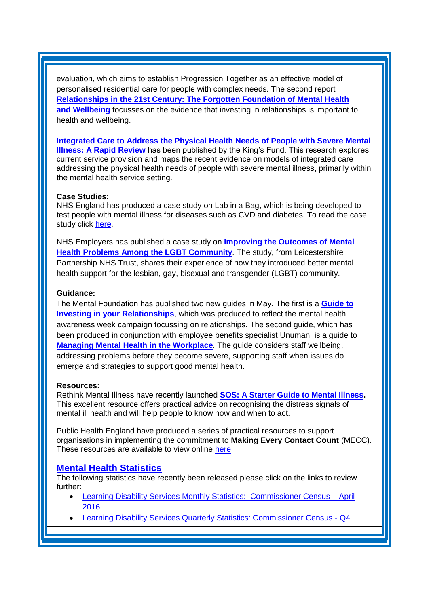evaluation, which aims to establish Progression Together as an effective model of personalised residential care for people with complex needs. The second report **[Relationships in the 21st Century: The Forgotten Foundation of Mental Health](https://www.mentalhealth.org.uk/publications/relationships-21st-century-forgotten-foundation-mental-health-and-wellbeing)  and [Wellbeing](https://www.mentalhealth.org.uk/publications/relationships-21st-century-forgotten-foundation-mental-health-and-wellbeing)** focusses on the evidence that investing in relationships is important to health and wellbeing.

**[Integrated Care to Address the Physical Health Needs of People with Severe](http://www.journalslibrary.nihr.ac.uk/__data/assets/pdf_file/0006/164652/FullReport-hsdr04130.pdf?utm_source=The%20King%27s%20Fund%20newsletters&utm_medium=email&utm_campaign=7015935_ICB%202015-05-11&dm_i=21A8,46DJ3,FLWT3F,F71FD,1) Mental [Illness: A Rapid Review](http://www.journalslibrary.nihr.ac.uk/__data/assets/pdf_file/0006/164652/FullReport-hsdr04130.pdf?utm_source=The%20King%27s%20Fund%20newsletters&utm_medium=email&utm_campaign=7015935_ICB%202015-05-11&dm_i=21A8,46DJ3,FLWT3F,F71FD,1)** has been published by the King's Fund. This research explores current service provision and maps the recent evidence on models of integrated care addressing the physical health needs of people with severe mental illness, primarily within the mental health service setting.

#### **Case Studies:**

NHS England has produced a case study on Lab in a Bag, which is being developed to test people with mental illness for diseases such as CVD and diabetes. To read the case study click [here.](https://www.england.nhs.uk/mentalhealth/2016/05/17/martin-myers/)

NHS Employers has published a case study on **[Improving the Outcomes of Mental](http://www.nhsemployers.org/case-studies-and-resources/2016/05/improving-outcomes-of-mental-health-problems-amoung-the-lgbt-community)  [Health Problems Among the LGBT Community](http://www.nhsemployers.org/case-studies-and-resources/2016/05/improving-outcomes-of-mental-health-problems-amoung-the-lgbt-community)**. The study, from Leicestershire Partnership NHS Trust, shares their experience of how they introduced better mental health support for the lesbian, gay, bisexual and transgender (LGBT) community.

#### **Guidance:**

The Mental Foundation has published two new guides in May. The first is a **[Guide to](https://www.mentalhealth.org.uk/publications/guide-investing-your-relationships)  [Investing in your Relationships](https://www.mentalhealth.org.uk/publications/guide-investing-your-relationships)**, which was produced to reflect the mental health awareness week campaign focussing on relationships. The second guide, which has been produced in conjunction with employee benefits specialist Unuman, is a guide to **[Managing Mental Health in the Workplace](https://www.mentalhealth.org.uk/publications/managing-mental-health-workplace)**. The guide considers staff wellbeing, addressing problems before they become severe, supporting staff when issues do emerge and strategies to support good mental health.

#### **Resources:**

Rethink Mental Illness have recently launched **[SOS: A Starter Guide to Mental Illness.](https://www.rethink.org/media/885021/sos_guide.pdf)** This excellent resource offers practical advice on recognising the distress signals of mental ill health and will help people to know how and when to act.

Public Health England have produced a series of practical resources to support organisations in implementing the commitment to **Making Every Contact Count** (MECC). These resources are available to view online [here.](https://www.gov.uk/government/publications/making-every-contact-count-mecc-practical-resources)

## <span id="page-4-0"></span>**[Mental Health Statistics](#page-0-1)**

The following statistics have recently been released please click on the links to review further:

- [Learning Disability Services Monthly Statistics:](http://www.hscic.gov.uk/catalogue/PUB20526) Commissioner Census April [2016](http://www.hscic.gov.uk/catalogue/PUB20526)
- [Learning Disability Services Quarterly Statistics: Commissioner Census -](http://www.hscic.gov.uk/catalogue/PUB20648) Q4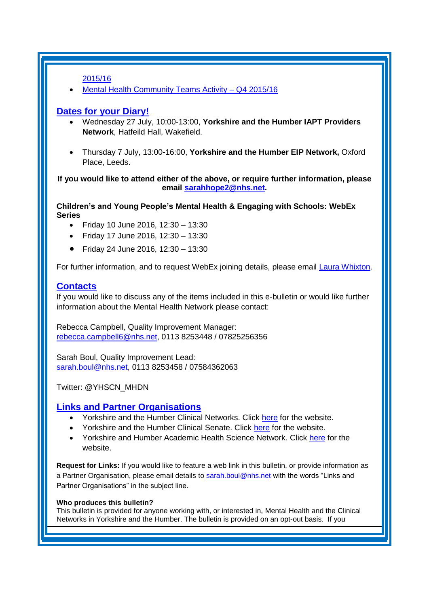[2015/16](http://www.hscic.gov.uk/catalogue/PUB20648)

[Mental Health Community Teams Activity –](https://www.england.nhs.uk/statistics/2016/05/06/mental-health-community-teams-activity-quarter-ending-march-2016/) Q4 2015/16

## <span id="page-5-1"></span>**[Dates for your Diary!](#page-0-1)**

- Wednesday 27 July, 10:00-13:00, **Yorkshire and the Humber IAPT Providers Network**, Hatfeild Hall, Wakefield.
- Thursday 7 July, 13:00-16:00, **Yorkshire and the Humber EIP Network,** Oxford Place, Leeds.

**If you would like to attend either of the above, or require further information, please email [sarahhope2@nhs.net.](mailto:sarahhope2@nhs.net)**

**Children's and Young People's Mental Health & Engaging with Schools: WebEx Series**

- Friday 10 June 2016, 12:30 13:30
- Friday 17 June 2016, 12:30 13:30
- Friday 24 June 2016, 12:30 13:30

For further information, and to request WebEx joining details, please email [Laura Whixton.](mailto:laura.whixton@nhs.net?subject=WebEx)

## <span id="page-5-0"></span>**[Contacts](#page-0-1)**

If you would like to discuss any of the items included in this e-bulletin or would like further information about the Mental Health Network please contact:

Rebecca Campbell, Quality Improvement Manager: [rebecca.campbell6@nhs.net,](mailto:rebecca.campbell6@nhs.net) 0113 8253448 / 07825256356

Sarah Boul, Quality Improvement Lead: [sarah.boul@nhs.net,](mailto:sarah.boul@nhs.net) 0113 8253458 / 07584362063

Twitter: @YHSCN\_MHDN

## <span id="page-5-2"></span>**[Links and Partner Organisations](#page-0-1)**

- Yorkshire and the Humber Clinical Networks. Click [here](http://www.yhscn.nhs.uk/index.php) for the website.
- Yorkshire and the Humber Clinical Senate. Click [here](http://www.yhsenate.nhs.uk/index.php) for the website.
- Yorkshire and Humber Academic Health Science Network. Click [here](http://www.yhahsn.org.uk/) for the website.

**Request for Links:** If you would like to feature a web link in this bulletin, or provide information as a Partner Organisation, please email details to [sarah.boul@nhs.net](mailto:sarah.boul@nhs.net) with the words "Links and Partner Organisations" in the subject line.

#### **Who produces this bulletin?**

This bulletin is provided for anyone working with, or interested in, Mental Health and the Clinical Networks in Yorkshire and the Humber. The bulletin is provided on an opt-out basis. If you